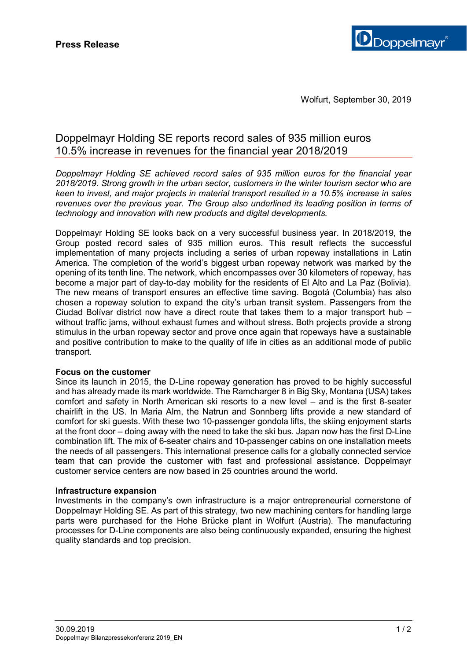

# Doppelmayr Holding SE reports record sales of 935 million euros 10.5% increase in revenues for the financial year 2018/2019

*Doppelmayr Holding SE achieved record sales of 935 million euros for the financial year 2018/2019. Strong growth in the urban sector, customers in the winter tourism sector who are keen to invest, and major projects in material transport resulted in a 10.5% increase in sales revenues over the previous year. The Group also underlined its leading position in terms of technology and innovation with new products and digital developments.* 

Doppelmayr Holding SE looks back on a very successful business year. In 2018/2019, the Group posted record sales of 935 million euros. This result reflects the successful implementation of many projects including a series of urban ropeway installations in Latin America. The completion of the world's biggest urban ropeway network was marked by the opening of its tenth line. The network, which encompasses over 30 kilometers of ropeway, has become a major part of day-to-day mobility for the residents of El Alto and La Paz (Bolivia). The new means of transport ensures an effective time saving. Bogotá (Columbia) has also chosen a ropeway solution to expand the city's urban transit system. Passengers from the Ciudad Bolívar district now have a direct route that takes them to a major transport hub – without traffic jams, without exhaust fumes and without stress. Both projects provide a strong stimulus in the urban ropeway sector and prove once again that ropeways have a sustainable and positive contribution to make to the quality of life in cities as an additional mode of public transport.

# **Focus on the customer**

Since its launch in 2015, the D-Line ropeway generation has proved to be highly successful and has already made its mark worldwide. The Ramcharger 8 in Big Sky, Montana (USA) takes comfort and safety in North American ski resorts to a new level – and is the first 8-seater chairlift in the US. In Maria Alm, the Natrun and Sonnberg lifts provide a new standard of comfort for ski guests. With these two 10-passenger gondola lifts, the skiing enjoyment starts at the front door – doing away with the need to take the ski bus. Japan now has the first D-Line combination lift. The mix of 6-seater chairs and 10-passenger cabins on one installation meets the needs of all passengers. This international presence calls for a globally connected service team that can provide the customer with fast and professional assistance. Doppelmayr customer service centers are now based in 25 countries around the world.

#### **Infrastructure expansion**

Investments in the company's own infrastructure is a major entrepreneurial cornerstone of Doppelmayr Holding SE. As part of this strategy, two new machining centers for handling large parts were purchased for the Hohe Brücke plant in Wolfurt (Austria). The manufacturing processes for D-Line components are also being continuously expanded, ensuring the highest quality standards and top precision.